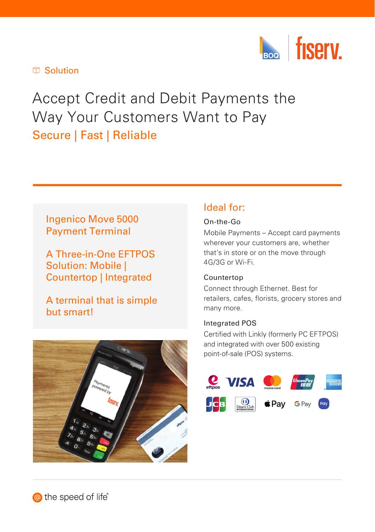

#### Solution

# Accept Credit and Debit Payments the Way Your Customers Want to Pay Secure | Fast | Reliable

# Ingenico Move 5000 Payment Terminal

A Three-in-One EFTPOS Solution: Mobile | Countertop | Integrated

A terminal that is simple but smart!



# Ideal for:

#### On-the-Go

Mobile Payments – Accept card payments wherever your customers are, whether that's in store or on the move through 4G/3G or Wi-Fi.

#### Countertop

Connect through Ethernet. Best for retailers, cafes, florists, grocery stores and many more.

#### Integrated POS

Certified with Linkly (formerly PC EFTPOS) and integrated with over 500 existing point‑of-sale (POS) systems.



the speed of life<sup>®</sup>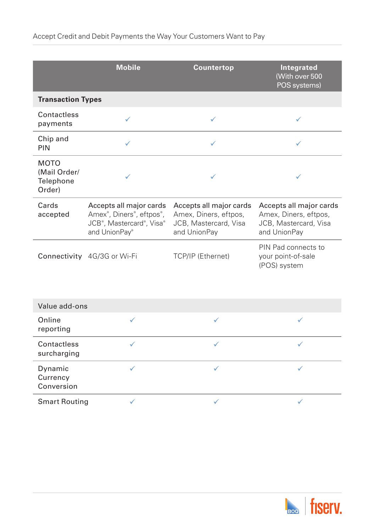|                                                    | <b>Mobile</b>                                                                                                                                                                 | <b>Countertop</b>                                                                         | <b>Integrated</b><br>(With over 500<br>POS systems)                                       |  |  |  |  |
|----------------------------------------------------|-------------------------------------------------------------------------------------------------------------------------------------------------------------------------------|-------------------------------------------------------------------------------------------|-------------------------------------------------------------------------------------------|--|--|--|--|
| <b>Transaction Types</b>                           |                                                                                                                                                                               |                                                                                           |                                                                                           |  |  |  |  |
| Contactless<br>payments                            | ✓                                                                                                                                                                             | ✓                                                                                         | ✓                                                                                         |  |  |  |  |
| Chip and<br><b>PIN</b>                             |                                                                                                                                                                               |                                                                                           |                                                                                           |  |  |  |  |
| <b>MOTO</b><br>(Mail Order/<br>Telephone<br>Order) |                                                                                                                                                                               |                                                                                           |                                                                                           |  |  |  |  |
| Cards<br>accepted                                  | Accepts all major cards<br>Amex <sup>®</sup> , Diners <sup>®</sup> , eftpos <sup>®</sup> ,<br>JCB <sup>®</sup> , Mastercard <sup>®</sup> , Visa <sup>®</sup><br>and UnionPay® | Accepts all major cards<br>Amex, Diners, eftpos,<br>JCB, Mastercard, Visa<br>and UnionPay | Accepts all major cards<br>Amex, Diners, eftpos,<br>JCB, Mastercard, Visa<br>and UnionPay |  |  |  |  |
|                                                    | Connectivity 4G/3G or Wi-Fi                                                                                                                                                   | TCP/IP (Ethernet)                                                                         | PIN Pad connects to<br>your point-of-sale<br>(POS) system                                 |  |  |  |  |

| Value add-ons                     |  |  |  |  |  |  |  |
|-----------------------------------|--|--|--|--|--|--|--|
| Online<br>reporting               |  |  |  |  |  |  |  |
| Contactless<br>surcharging        |  |  |  |  |  |  |  |
| Dynamic<br>Currency<br>Conversion |  |  |  |  |  |  |  |
| <b>Smart Routing</b>              |  |  |  |  |  |  |  |

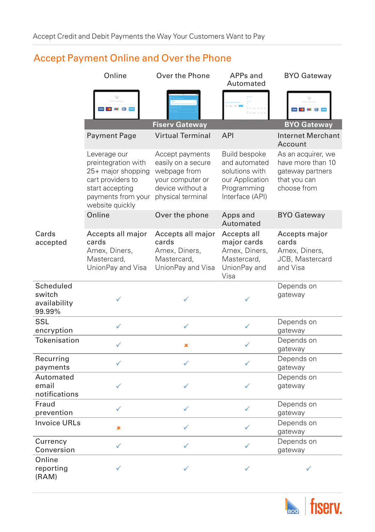# Accept Payment Online and Over the Phone

|                                               | Online                                                                                                                                     | Over the Phone                                                                                                     | APPs and<br>Automated                                                                                 | <b>BYO Gateway</b>                                                                         |  |  |
|-----------------------------------------------|--------------------------------------------------------------------------------------------------------------------------------------------|--------------------------------------------------------------------------------------------------------------------|-------------------------------------------------------------------------------------------------------|--------------------------------------------------------------------------------------------|--|--|
|                                               | <b>VISA 1 1 0 AM</b>                                                                                                                       |                                                                                                                    |                                                                                                       | <b>VISA 1</b> (1) (1) $\sim$                                                               |  |  |
| <b>BYO Gateway</b><br><b>Fiserv Gateway</b>   |                                                                                                                                            |                                                                                                                    |                                                                                                       |                                                                                            |  |  |
|                                               | Payment Page                                                                                                                               | <b>Virtual Terminal</b>                                                                                            | <b>API</b>                                                                                            | Internet Merchant<br>Account                                                               |  |  |
|                                               | Leverage our<br>preintegration with<br>25+ major shopping<br>cart providers to<br>start accepting<br>payments from your<br>website quickly | Accept payments<br>easily on a secure<br>webpage from<br>your computer or<br>device without a<br>physical terminal | Build bespoke<br>and automated<br>solutions with<br>our Application<br>Programming<br>Interface (API) | As an acquirer, we<br>have more than 10<br>gateway partners<br>that you can<br>choose from |  |  |
|                                               | Online                                                                                                                                     | Over the phone                                                                                                     | Apps and<br>Automated                                                                                 | <b>BYO Gateway</b>                                                                         |  |  |
| Cards<br>accepted                             | Accepts all major<br>cards<br>Amex, Diners,<br>Mastercard,<br>UnionPay and Visa                                                            | Accepts all major<br>cards<br>Amex, Diners,<br>Mastercard,<br>UnionPay and Visa                                    | Accepts all<br>major cards<br>Amex, Diners,<br>Mastercard,<br>UnionPay and<br>Visa                    | Accepts major<br>cards<br>Amex, Diners,<br>JCB, Mastercard<br>and Visa                     |  |  |
| Scheduled<br>switch<br>availability<br>99.99% |                                                                                                                                            |                                                                                                                    |                                                                                                       | Depends on<br>gateway                                                                      |  |  |
| SSL<br>encryption                             | ✓                                                                                                                                          | ✓                                                                                                                  | ✓                                                                                                     | Depends on<br>gateway                                                                      |  |  |
| Tokenisation                                  | ✓                                                                                                                                          | $\pmb{\times}$                                                                                                     | ✓                                                                                                     | Depends on<br>gateway                                                                      |  |  |
| Recurring<br>payments                         | ✓                                                                                                                                          | ✓                                                                                                                  | ✓                                                                                                     | Depends on<br>gateway                                                                      |  |  |
| Automated<br>email<br>notifications           | ✓                                                                                                                                          | ✓                                                                                                                  | ✓                                                                                                     | Depends on<br>gateway                                                                      |  |  |
| Fraud<br>prevention                           | ✓                                                                                                                                          | ✓                                                                                                                  | ✓                                                                                                     | Depends on<br>gateway                                                                      |  |  |
| <b>Invoice URLs</b>                           | ×                                                                                                                                          | ✓                                                                                                                  | ✓                                                                                                     | Depends on<br>gateway                                                                      |  |  |
| Currency<br>Conversion                        | ✓                                                                                                                                          | ✓                                                                                                                  | ✓                                                                                                     | Depends on<br>gateway                                                                      |  |  |
| Online<br>reporting<br>(RAM)                  |                                                                                                                                            |                                                                                                                    | ✓                                                                                                     |                                                                                            |  |  |